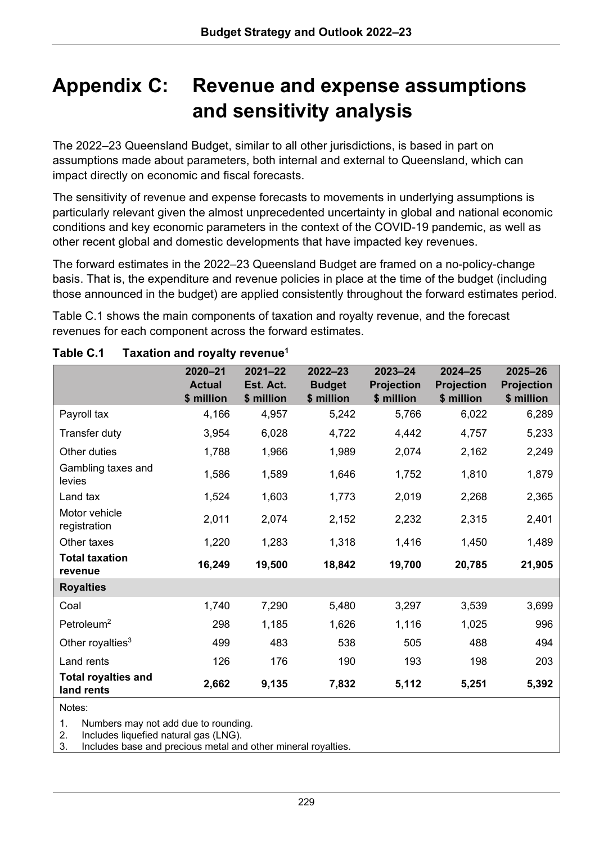# **Appendix C: Revenue and expense assumptions and sensitivity analysis**

The 2022–23 Queensland Budget, similar to all other jurisdictions, is based in part on assumptions made about parameters, both internal and external to Queensland, which can impact directly on economic and fiscal forecasts.

The sensitivity of revenue and expense forecasts to movements in underlying assumptions is particularly relevant given the almost unprecedented uncertainty in global and national economic conditions and key economic parameters in the context of the COVID-19 pandemic, as well as other recent global and domestic developments that have impacted key revenues.

The forward estimates in the 2022–23 Queensland Budget are framed on a no-policy-change basis. That is, the expenditure and revenue policies in place at the time of the budget (including those announced in the budget) are applied consistently throughout the forward estimates period.

Table C.1 shows the main components of taxation and royalty revenue, and the forecast revenues for each component across the forward estimates.

|                                          | $2020 - 21$<br><b>Actual</b><br>\$ million | $2021 - 22$<br>Est. Act.<br>\$ million | $2022 - 23$<br><b>Budget</b><br>\$ million | $2023 - 24$<br><b>Projection</b><br>\$ million | $2024 - 25$<br><b>Projection</b><br>\$ million | $2025 - 26$<br><b>Projection</b><br>\$ million |
|------------------------------------------|--------------------------------------------|----------------------------------------|--------------------------------------------|------------------------------------------------|------------------------------------------------|------------------------------------------------|
| Payroll tax                              | 4,166                                      | 4,957                                  | 5,242                                      | 5,766                                          | 6,022                                          | 6,289                                          |
| Transfer duty                            | 3,954                                      | 6,028                                  | 4,722                                      | 4,442                                          | 4,757                                          | 5,233                                          |
| Other duties                             | 1,788                                      | 1,966                                  | 1,989                                      | 2,074                                          | 2,162                                          | 2,249                                          |
| Gambling taxes and<br>levies             | 1,586                                      | 1,589                                  | 1,646                                      | 1,752                                          | 1,810                                          | 1,879                                          |
| Land tax                                 | 1,524                                      | 1,603                                  | 1,773                                      | 2,019                                          | 2,268                                          | 2,365                                          |
| Motor vehicle<br>registration            | 2,011                                      | 2,074                                  | 2,152                                      | 2,232                                          | 2,315                                          | 2,401                                          |
| Other taxes                              | 1,220                                      | 1,283                                  | 1,318                                      | 1,416                                          | 1,450                                          | 1,489                                          |
| <b>Total taxation</b><br>revenue         | 16,249                                     | 19,500                                 | 18,842                                     | 19,700                                         | 20,785                                         | 21,905                                         |
| <b>Royalties</b>                         |                                            |                                        |                                            |                                                |                                                |                                                |
| Coal                                     | 1,740                                      | 7,290                                  | 5,480                                      | 3,297                                          | 3,539                                          | 3,699                                          |
| Petroleum <sup>2</sup>                   | 298                                        | 1,185                                  | 1,626                                      | 1,116                                          | 1,025                                          | 996                                            |
| Other royalties $3$                      | 499                                        | 483                                    | 538                                        | 505                                            | 488                                            | 494                                            |
| Land rents                               | 126                                        | 176                                    | 190                                        | 193                                            | 198                                            | 203                                            |
| <b>Total royalties and</b><br>land rents | 2,662                                      | 9,135                                  | 7,832                                      | 5,112                                          | 5,251                                          | 5,392                                          |

Notes:

1. Numbers may not add due to rounding.

2. Includes liquefied natural gas (LNG).

Includes base and precious metal and other mineral royalties.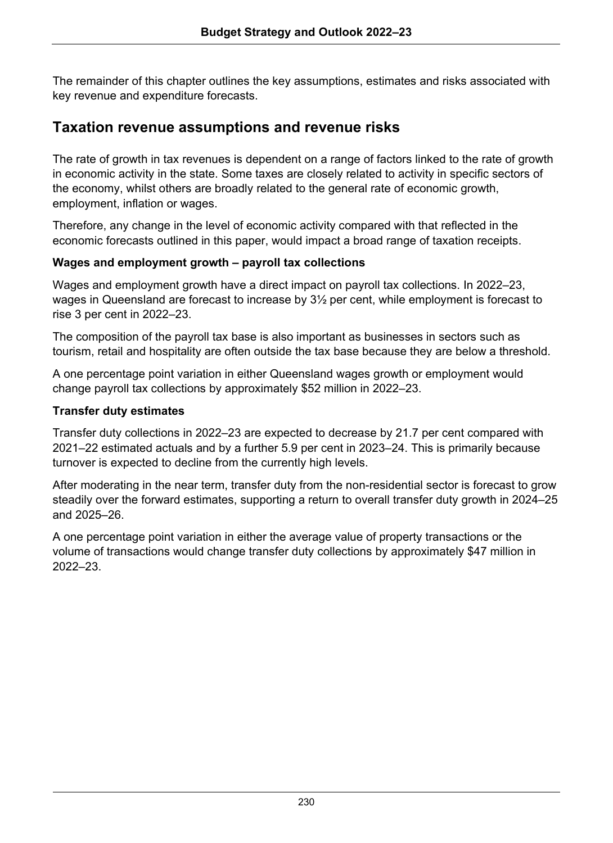The remainder of this chapter outlines the key assumptions, estimates and risks associated with key revenue and expenditure forecasts.

# **Taxation revenue assumptions and revenue risks**

The rate of growth in tax revenues is dependent on a range of factors linked to the rate of growth in economic activity in the state. Some taxes are closely related to activity in specific sectors of the economy, whilst others are broadly related to the general rate of economic growth, employment, inflation or wages.

Therefore, any change in the level of economic activity compared with that reflected in the economic forecasts outlined in this paper, would impact a broad range of taxation receipts.

## **Wages and employment growth – payroll tax collections**

Wages and employment growth have a direct impact on payroll tax collections. In 2022–23, wages in Queensland are forecast to increase by  $3\frac{1}{2}$  per cent, while employment is forecast to rise 3 per cent in 2022–23.

The composition of the payroll tax base is also important as businesses in sectors such as tourism, retail and hospitality are often outside the tax base because they are below a threshold.

A one percentage point variation in either Queensland wages growth or employment would change payroll tax collections by approximately \$52 million in 2022–23.

## **Transfer duty estimates**

Transfer duty collections in 2022–23 are expected to decrease by 21.7 per cent compared with 2021–22 estimated actuals and by a further 5.9 per cent in 2023–24. This is primarily because turnover is expected to decline from the currently high levels.

After moderating in the near term, transfer duty from the non-residential sector is forecast to grow steadily over the forward estimates, supporting a return to overall transfer duty growth in 2024–25 and 2025–26.

A one percentage point variation in either the average value of property transactions or the volume of transactions would change transfer duty collections by approximately \$47 million in 2022–23.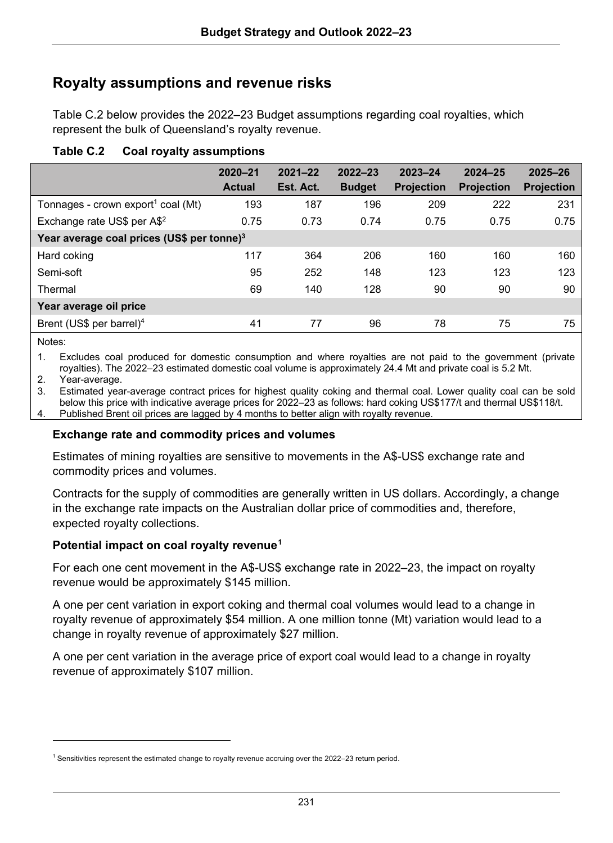# **Royalty assumptions and revenue risks**

Table C.2 below provides the 2022–23 Budget assumptions regarding coal royalties, which represent the bulk of Queensland's royalty revenue.

| Table C.2 | <b>Coal royalty assumptions</b> |
|-----------|---------------------------------|
|           |                                 |

|                                                | 2020-21<br><b>Actual</b> | $2021 - 22$<br>Est. Act. | $2022 - 23$<br><b>Budget</b> | $2023 - 24$<br><b>Projection</b> | $2024 - 25$<br><b>Projection</b> | 2025-26<br><b>Projection</b> |
|------------------------------------------------|--------------------------|--------------------------|------------------------------|----------------------------------|----------------------------------|------------------------------|
| Tonnages - crown export <sup>1</sup> coal (Mt) | 193                      | 187                      | 196                          | 209                              | 222                              | 231                          |
| Exchange rate US\$ per A\$ <sup>2</sup>        | 0.75                     | 0.73                     | 0.74                         | 0.75                             | 0.75                             | 0.75                         |
| Year average coal prices (US\$ per tonne) $3$  |                          |                          |                              |                                  |                                  |                              |
| Hard coking                                    | 117                      | 364                      | 206                          | 160                              | 160                              | 160                          |
| Semi-soft                                      | 95                       | 252                      | 148                          | 123                              | 123                              | 123                          |
| Thermal                                        | 69                       | 140                      | 128                          | 90                               | 90                               | 90                           |
| Year average oil price                         |                          |                          |                              |                                  |                                  |                              |
| Brent (US\$ per barrel) <sup>4</sup>           | 41                       | 77                       | 96                           | 78                               | 75                               | 75                           |

Notes:

1. Excludes coal produced for domestic consumption and where royalties are not paid to the government (private royalties). The 2022–23 estimated domestic coal volume is approximately 24.4 Mt and private coal is 5.2 Mt.

2. Year-average.

3. Estimated year-average contract prices for highest quality coking and thermal coal. Lower quality coal can be sold below this price with indicative average prices for 2022–23 as follows: hard coking US\$177/t and thermal US\$118/t. Published Brent oil prices are lagged by 4 months to better align with royalty revenue.

#### **Exchange rate and commodity prices and volumes**

Estimates of mining royalties are sensitive to movements in the A\$-US\$ exchange rate and commodity prices and volumes.

Contracts for the supply of commodities are generally written in US dollars. Accordingly, a change in the exchange rate impacts on the Australian dollar price of commodities and, therefore, expected royalty collections.

#### **Potential impact on coal royalty revenue[1](#page-2-0)**

For each one cent movement in the A\$-US\$ exchange rate in 2022–23, the impact on royalty revenue would be approximately \$145 million.

A one per cent variation in export coking and thermal coal volumes would lead to a change in royalty revenue of approximately \$54 million. A one million tonne (Mt) variation would lead to a change in royalty revenue of approximately \$27 million.

A one per cent variation in the average price of export coal would lead to a change in royalty revenue of approximately \$107 million.

<span id="page-2-0"></span><sup>&</sup>lt;sup>1</sup> Sensitivities represent the estimated change to royalty revenue accruing over the 2022–23 return period.